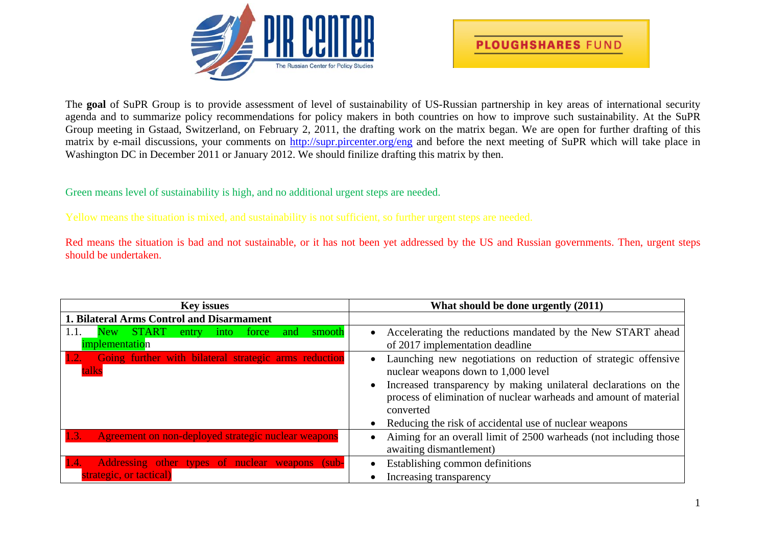



The **goal** of SuPR Group is to provide assessment of level of sustainability of US-Russian partnership in key areas of international security agenda and to summarize policy recommendations for policy makers in both countries on how to improve such sustainability. At the SuPR Group meeting in Gstaad, Switzerland, on February 2, 2011, the drafting work on the matrix began. We are open for further drafting of this matrix by e-mail discussions, your comments on <http://supr.pircenter.org/eng> and before the next meeting of SuPR which will take place in Washington DC in December 2011 or January 2012. We should finilize drafting this matrix by then.

Green means level of sustainability is high, and no additional urgent steps are needed.

Yellow means the situation is mixed, and sustainability is not sufficient, so further urgent steps are needed.

Red means the situation is bad and not sustainable, or it has not been yet addressed by the US and Russian governments. Then, urgent steps should be undertaken.

| <b>Key issues</b>                                                                  | What should be done urgently (2011)                                                                                                                                                                                                                                                                                                            |
|------------------------------------------------------------------------------------|------------------------------------------------------------------------------------------------------------------------------------------------------------------------------------------------------------------------------------------------------------------------------------------------------------------------------------------------|
| 1. Bilateral Arms Control and Disarmament                                          |                                                                                                                                                                                                                                                                                                                                                |
| New START<br>1.1.<br>into force and<br>smooth<br>entry<br><i>implementation</i>    | Accelerating the reductions mandated by the New START ahead<br>$\bullet$<br>of 2017 implementation deadline                                                                                                                                                                                                                                    |
| Going further with bilateral strategic arms reduction<br>talks                     | Launching new negotiations on reduction of strategic offensive<br>$\bullet$<br>nuclear weapons down to 1,000 level<br>Increased transparency by making unilateral declarations on the<br>$\bullet$<br>process of elimination of nuclear warheads and amount of material<br>converted<br>Reducing the risk of accidental use of nuclear weapons |
| 1.3.<br>Agreement on non-deployed strategic nuclear weapons                        | Aiming for an overall limit of 2500 warheads (not including those<br>$\bullet$<br>awaiting dismant lement)                                                                                                                                                                                                                                     |
| Addressing other types of nuclear weapons (sub-<br>1.4.<br>strategic, or tactical) | Establishing common definitions<br>$\bullet$<br>Increasing transparency                                                                                                                                                                                                                                                                        |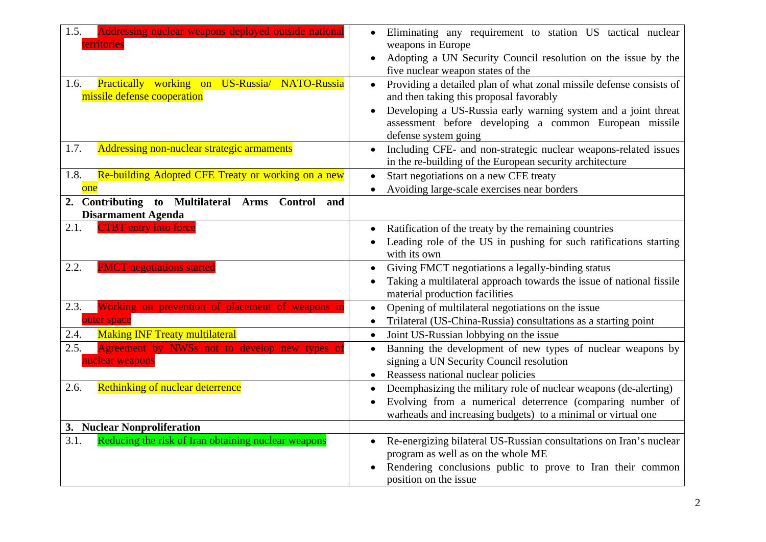| 1.5.<br>Addressing nuclear weapons deployed outside national<br>territories<br>Practically working on US-Russia/ NATO-Russia<br>1.6.<br>missile defense cooperation | Eliminating any requirement to station US tactical nuclear<br>$\bullet$<br>weapons in Europe<br>Adopting a UN Security Council resolution on the issue by the<br>$\bullet$<br>five nuclear weapon states of the<br>Providing a detailed plan of what zonal missile defense consists of<br>$\bullet$<br>and then taking this proposal favorably<br>Developing a US-Russia early warning system and a joint threat<br>assessment before developing a common European missile<br>defense system going |
|---------------------------------------------------------------------------------------------------------------------------------------------------------------------|----------------------------------------------------------------------------------------------------------------------------------------------------------------------------------------------------------------------------------------------------------------------------------------------------------------------------------------------------------------------------------------------------------------------------------------------------------------------------------------------------|
| Addressing non-nuclear strategic armaments<br>1.7.                                                                                                                  | Including CFE- and non-strategic nuclear weapons-related issues<br>$\bullet$<br>in the re-building of the European security architecture                                                                                                                                                                                                                                                                                                                                                           |
| Re-building Adopted CFE Treaty or working on a new<br>1.8.<br>one                                                                                                   | Start negotiations on a new CFE treaty<br>$\bullet$<br>Avoiding large-scale exercises near borders<br>$\bullet$                                                                                                                                                                                                                                                                                                                                                                                    |
| <b>Contributing to Multilateral Arms</b><br><b>Control</b><br>and<br><b>Disarmament Agenda</b>                                                                      |                                                                                                                                                                                                                                                                                                                                                                                                                                                                                                    |
| 2.1.<br><b>TBT</b> entry into force                                                                                                                                 | Ratification of the treaty by the remaining countries<br>$\bullet$<br>Leading role of the US in pushing for such ratifications starting<br>with its own                                                                                                                                                                                                                                                                                                                                            |
| 2.2.<br><b>FMCT</b> negotiations started                                                                                                                            | Giving FMCT negotiations a legally-binding status<br>$\bullet$<br>Taking a multilateral approach towards the issue of national fissile<br>material production facilities                                                                                                                                                                                                                                                                                                                           |
| 2.3.<br>Working on prevention of placement of weapons in<br>outer space                                                                                             | Opening of multilateral negotiations on the issue<br>$\bullet$<br>Trilateral (US-China-Russia) consultations as a starting point<br>$\bullet$                                                                                                                                                                                                                                                                                                                                                      |
| <b>Making INF Treaty multilateral</b><br>2.4.                                                                                                                       | Joint US-Russian lobbying on the issue<br>$\bullet$                                                                                                                                                                                                                                                                                                                                                                                                                                                |
| 2.5.<br>Agreement by NWSs not to develop new types of<br>nuclear weapons                                                                                            | Banning the development of new types of nuclear weapons by<br>$\bullet$<br>signing a UN Security Council resolution<br>Reassess national nuclear policies<br>$\bullet$                                                                                                                                                                                                                                                                                                                             |
| 2.6.<br>Rethinking of nuclear deterrence                                                                                                                            | Deemphasizing the military role of nuclear weapons (de-alerting)<br>$\bullet$<br>Evolving from a numerical deterrence (comparing number of<br>warheads and increasing budgets) to a minimal or virtual one                                                                                                                                                                                                                                                                                         |
| <b>Nuclear Nonproliferation</b><br>3.                                                                                                                               |                                                                                                                                                                                                                                                                                                                                                                                                                                                                                                    |
| 3.1.<br>Reducing the risk of Iran obtaining nuclear weapons                                                                                                         | Re-energizing bilateral US-Russian consultations on Iran's nuclear<br>$\bullet$<br>program as well as on the whole ME<br>Rendering conclusions public to prove to Iran their common<br>position on the issue                                                                                                                                                                                                                                                                                       |